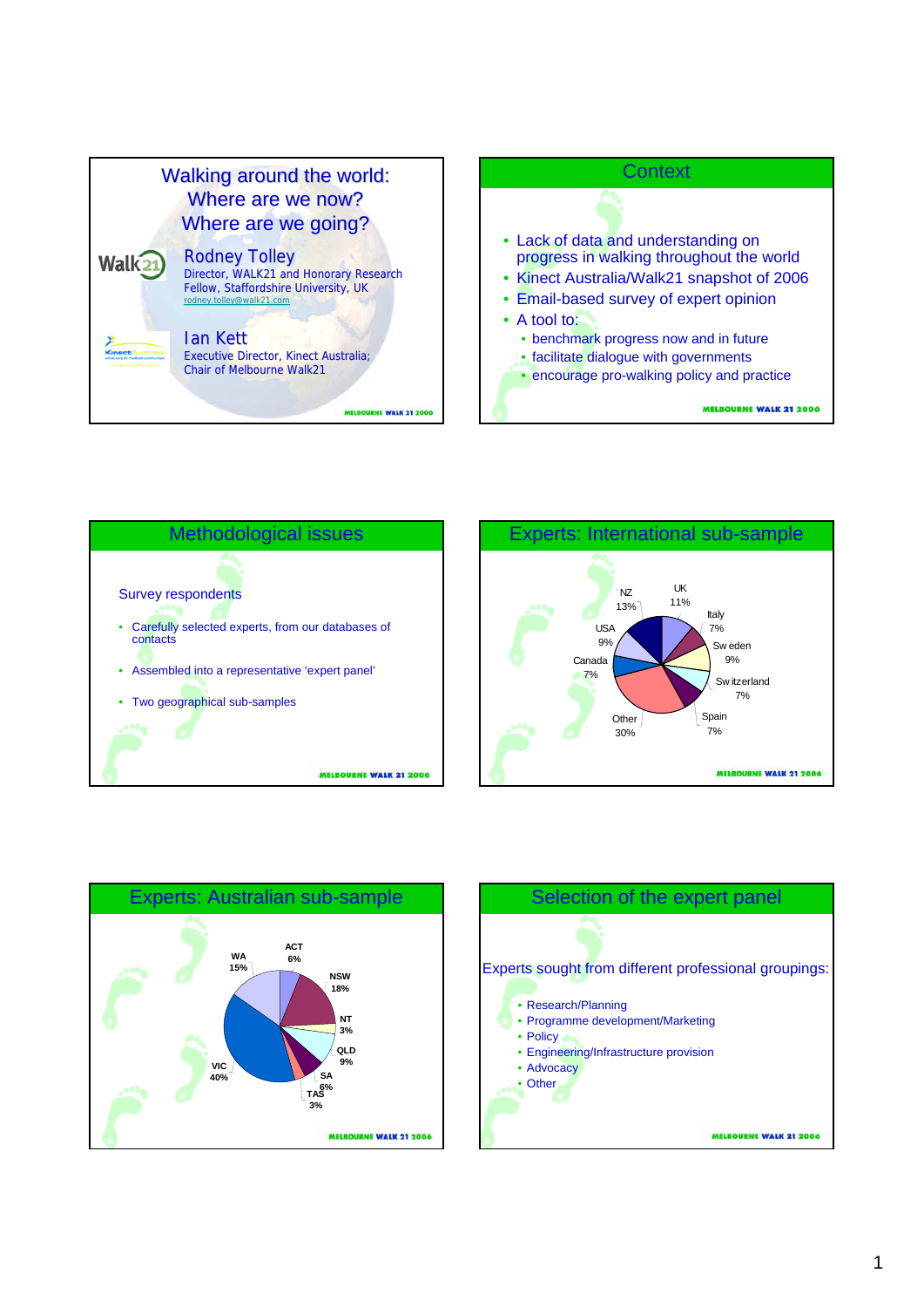





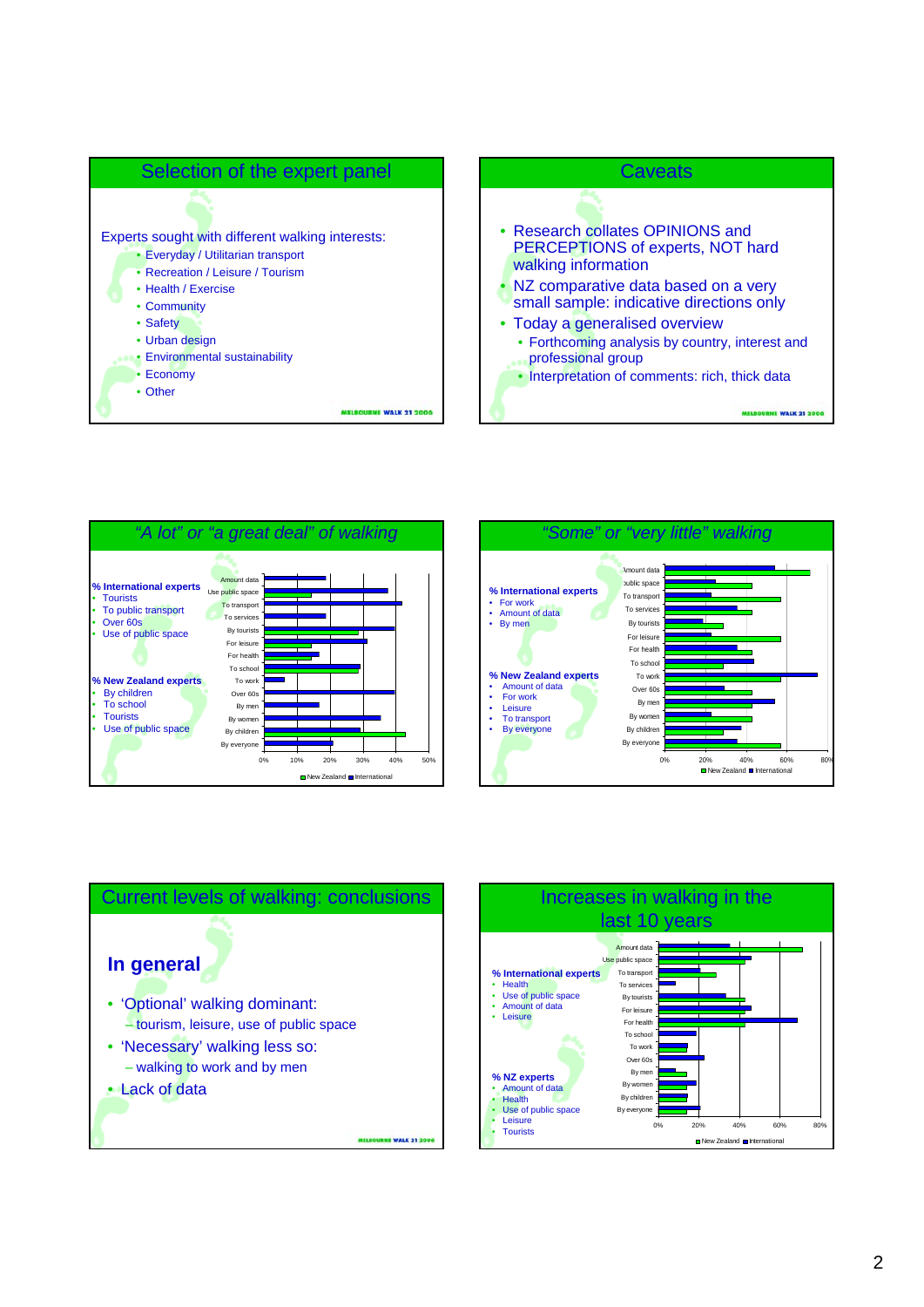









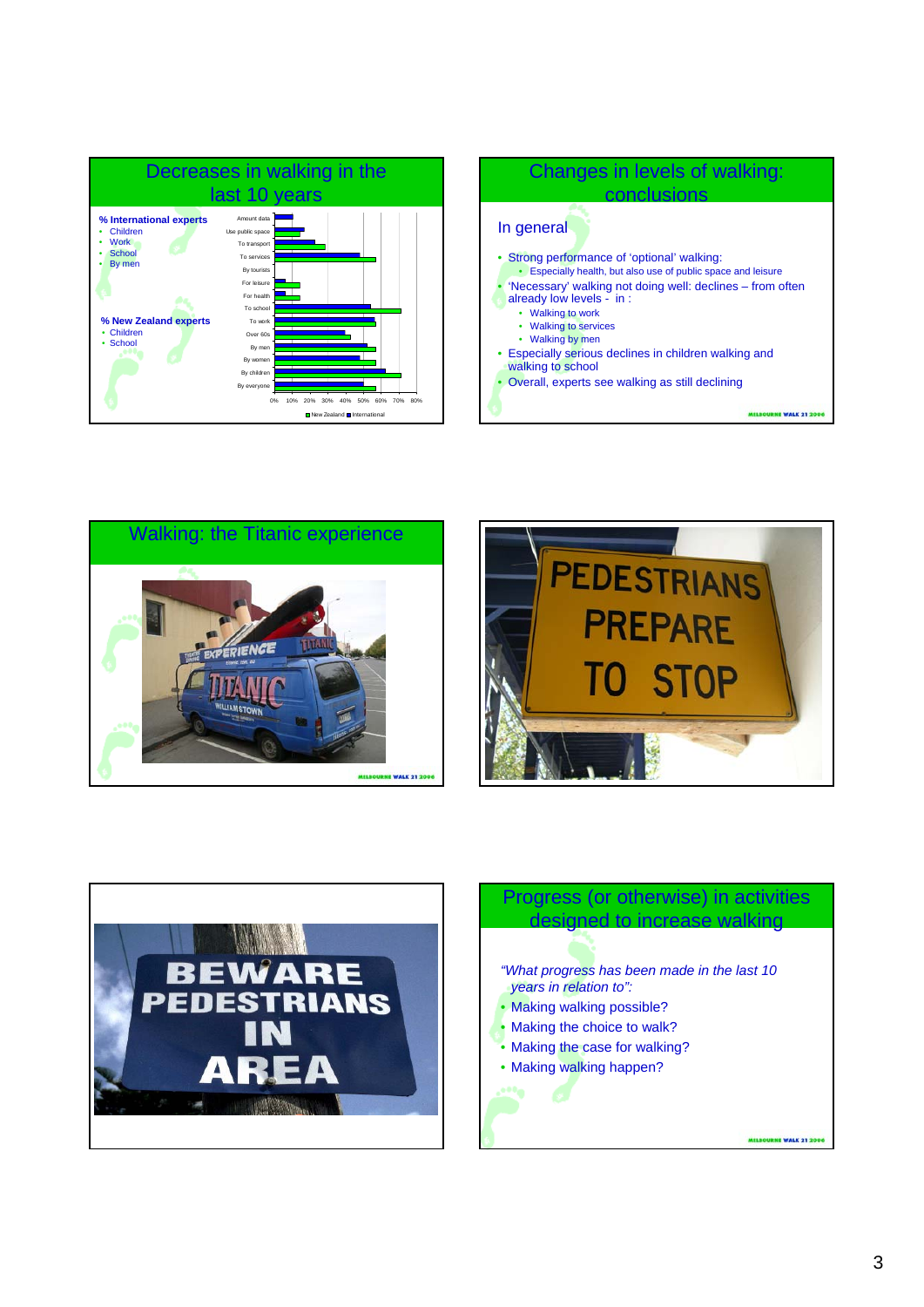









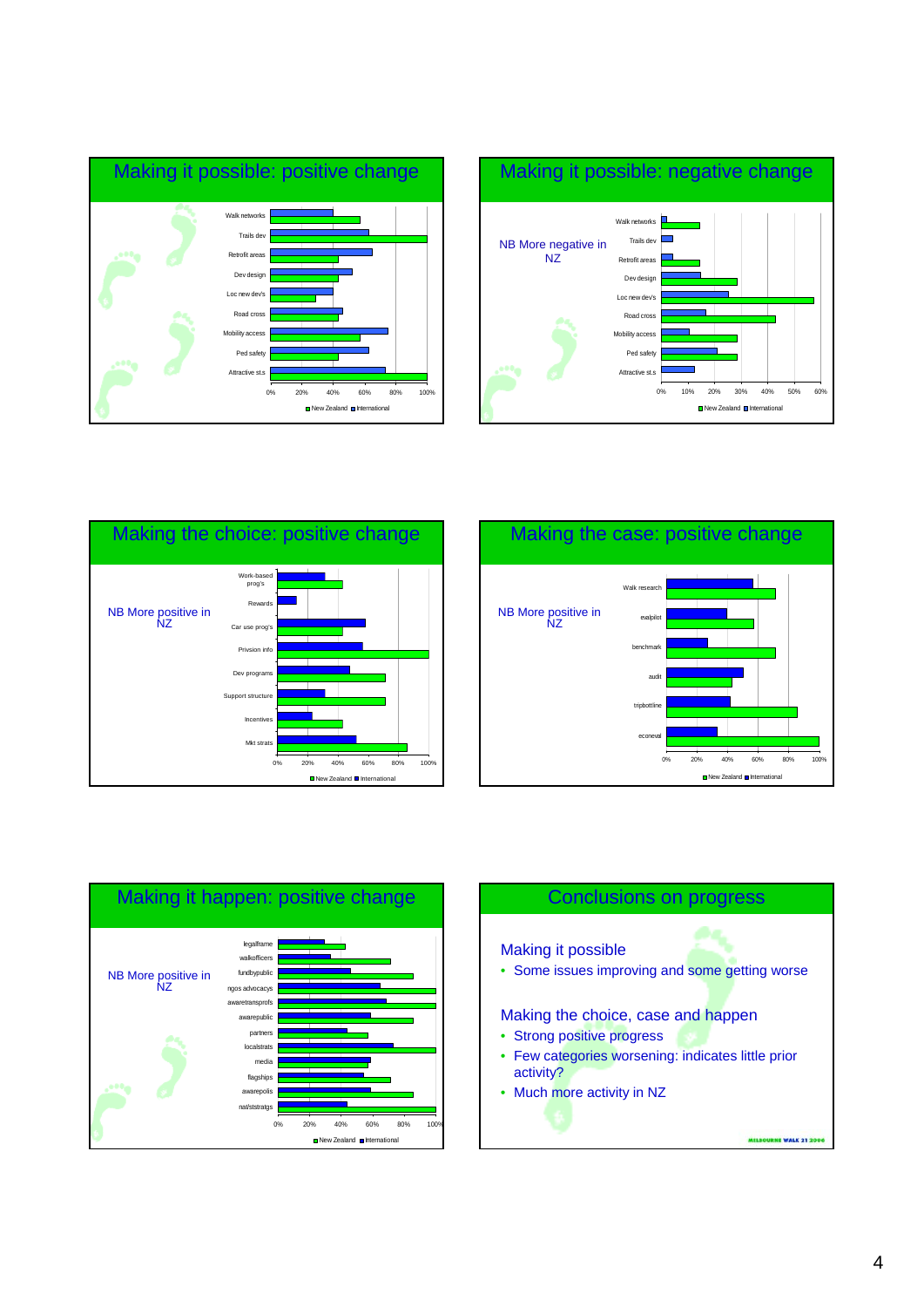











Making it possible

• Some issues improving and some getting worse

### Making the choice, case and happen

- Strong positive progress
- Few categories worsening: indicates little prior activity?
- Much more activity in NZ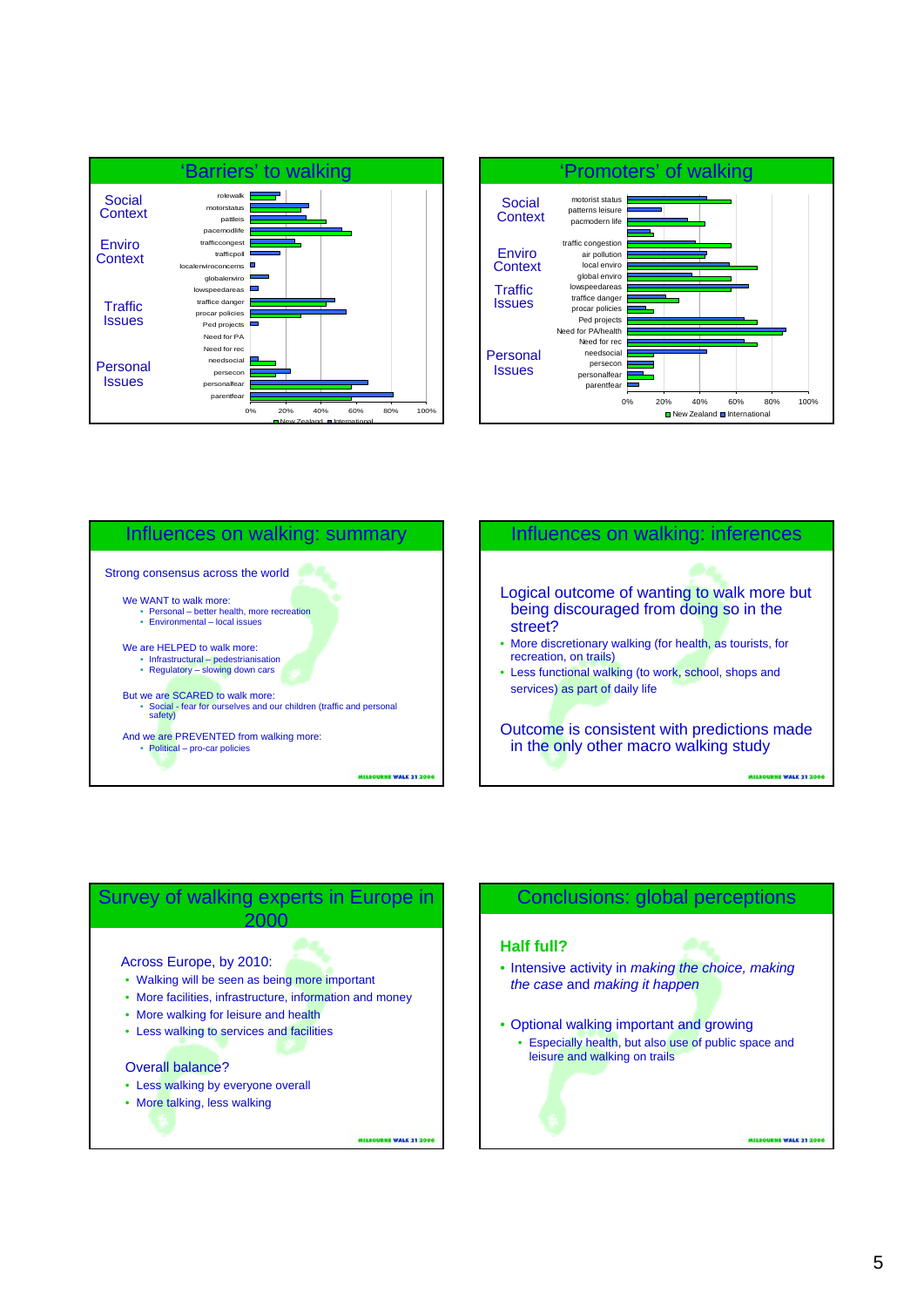







## Conclusions: global perceptions

## **Half full?**

- Intensive activity in *making the choice, making the case* and *making it happen*
- Optional walking important and growing
	- Especially health, but also use of public space and leisure and walking on trails

MELBOURNE WALK 21 200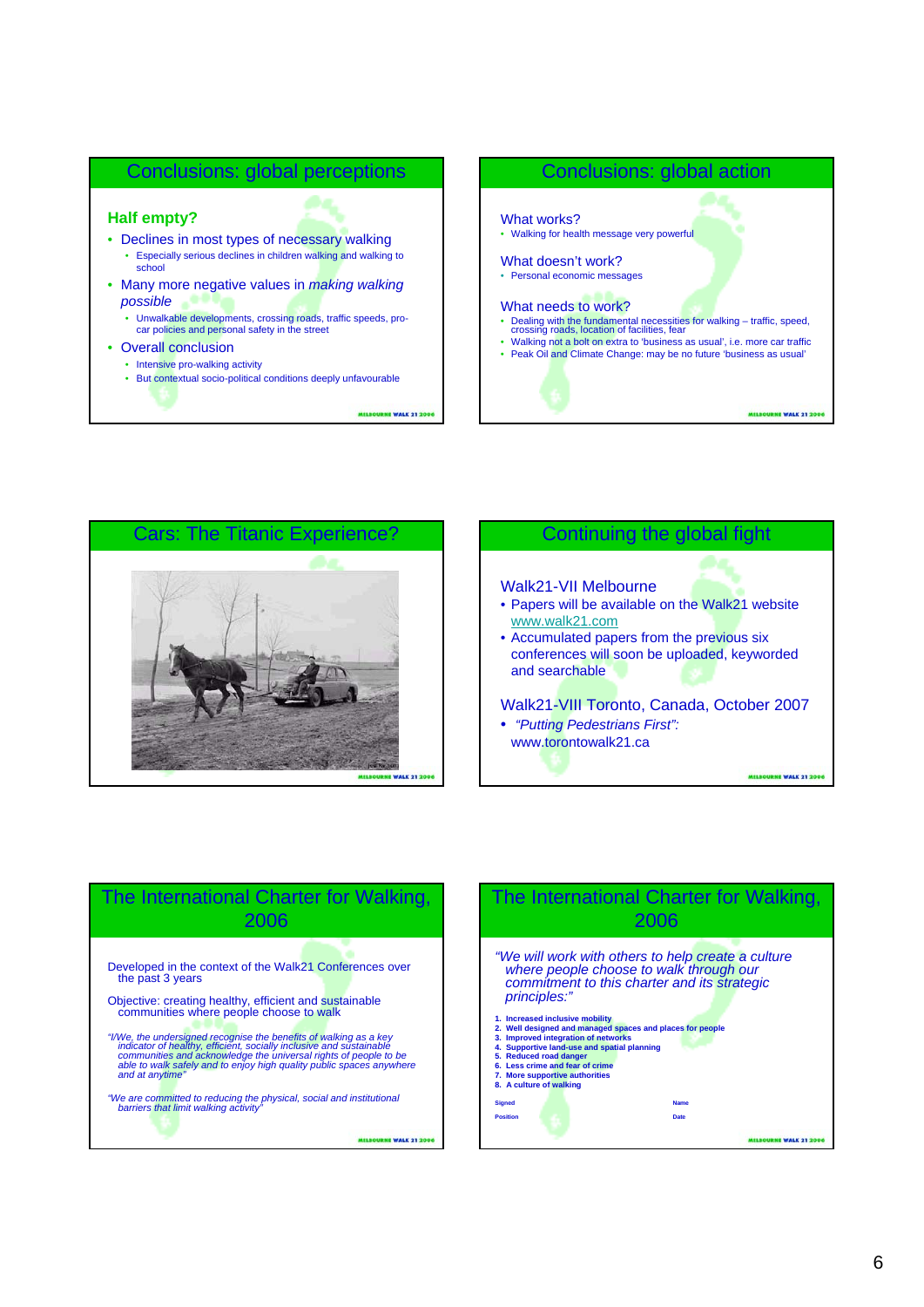

**MELBOURNE WALK 21 2006** 

## Conclusions: global action





## Continuing the global fight

#### Walk21-VII Melbourne

- Papers will be available on the Walk21 website www.walk21.com
- Accumulated papers from the previous six conferences will soon be uploaded, keyworded and searchable

#### Walk21-VIII Toronto, Canada, October 2007

• *"Putting Pedestrians First":*  www.torontowalk21.ca

**NE WALK 21 2006** 

## The International Charter for Walking, 2006

Developed in the context of the Walk21 Conferences over the past 3 years

Objective: creating healthy, efficient and sustainable communities where people choose to walk

"|/We, the undersigned recognise the benefits of walking as a key<br>indicator of healthy, efficient, socially inclusive and sustainable<br>communities and acknowledge the universal rights of people to be<br>able to walk safely and

*"We are committed to reducing the physical, social and institutional barriers that limit walking activity"*

MELBOURNE WALK 21 2006